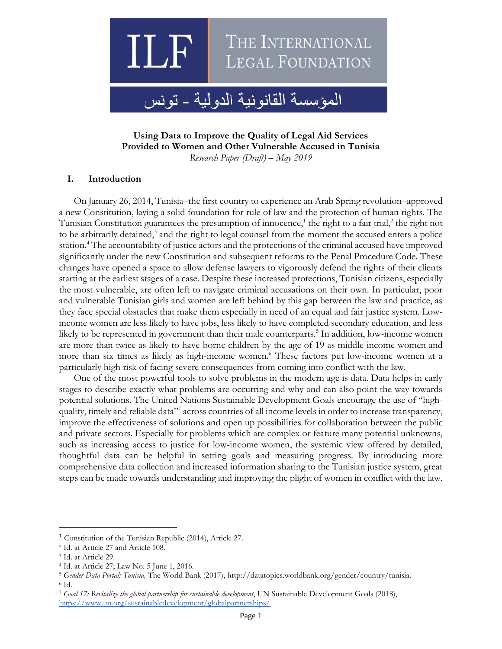

**Using Data to Improve the Quality of Legal Aid Services Provided to Women and Other Vulnerable Accused in Tunisia**

*Research Paper (Draft) – May 2019*

### **I. Introduction**

On January 26, 2014, Tunisia–the first country to experience an Arab Spring revolution–approved a new Constitution, laying a solid foundation for rule of law and the protection of human rights. The Tunisian Constitution guarantees the presumption of innocence,<sup>1</sup> the right to a fair trial,<sup>2</sup> the right not to be arbitrarily detained,<sup>3</sup> and the right to legal counsel from the moment the accused enters a police station.<sup>4</sup> The accountability of justice actors and the protections of the criminal accused have improved significantly under the new Constitution and subsequent reforms to the Penal Procedure Code. These changes have opened a space to allow defense lawyers to vigorously defend the rights of their clients starting at the earliest stages of a case. Despite these increased protections, Tunisian citizens, especially the most vulnerable, are often left to navigate criminal accusations on their own. In particular, poor and vulnerable Tunisian girls and women are left behind by this gap between the law and practice, as they face special obstacles that make them especially in need of an equal and fair justice system. Lowincome women are less likely to have jobs, less likely to have completed secondary education, and less likely to be represented in government than their male counterparts.<sup>5</sup> In addition, low-income women are more than twice as likely to have borne children by the age of 19 as middle-income women and more than six times as likely as high-income women.<sup>6</sup> These factors put low-income women at a particularly high risk of facing severe consequences from coming into conflict with the law.

One of the most powerful tools to solve problems in the modern age is data. Data helps in early stages to describe exactly what problems are occurring and why and can also point the way towards potential solutions. The United Nations Sustainable Development Goals encourage the use of "highquality, timely and reliable data"<sup>7</sup> across countries of all income levels in order to increase transparency, improve the effectiveness of solutions and open up possibilities for collaboration between the public and private sectors. Especially for problems which are complex or feature many potential unknowns, such as increasing access to justice for low-income women, the systemic view offered by detailed, thoughtful data can be helpful in setting goals and measuring progress. By introducing more comprehensive data collection and increased information sharing to the Tunisian justice system, great steps can be made towards understanding and improving the plight of women in conflict with the law.

 $\overline{a}$ 

<sup>&</sup>lt;sup>1</sup> Constitution of the Tunisian Republic (2014), Article 27.

<sup>2</sup> Id. at Article 27 and Article 108.

<sup>3</sup> Id. at Article 29.

<sup>4</sup> Id. at Article 27; Law No. 5 June 1, 2016.

<sup>5</sup> *Gender Data Portal: Tunisia,* The World Bank (2017), http://datatopics.worldbank.org/gender/country/tunisia. <sup>6</sup> Id.

<sup>7</sup> *Goal 17: Revitalize the global partnership for sustainable development*, UN Sustainable Development Goals (2018), <https://www.un.org/sustainabledevelopment/globalpartnerships/>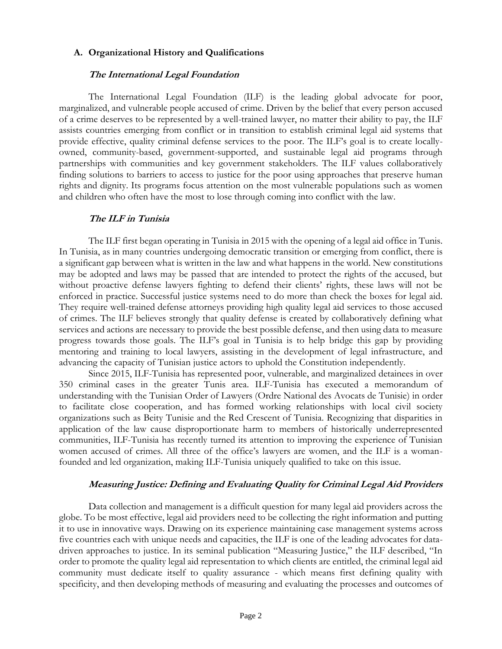## **A. Organizational History and Qualifications**

## **The International Legal Foundation**

The International Legal Foundation (ILF) is the leading global advocate for poor, marginalized, and vulnerable people accused of crime. Driven by the belief that every person accused of a crime deserves to be represented by a well-trained lawyer, no matter their ability to pay, the ILF assists countries emerging from conflict or in transition to establish criminal legal aid systems that provide effective, quality criminal defense services to the poor. The ILF's goal is to create locallyowned, community-based, government-supported, and sustainable legal aid programs through partnerships with communities and key government stakeholders. The ILF values collaboratively finding solutions to barriers to access to justice for the poor using approaches that preserve human rights and dignity. Its programs focus attention on the most vulnerable populations such as women and children who often have the most to lose through coming into conflict with the law.

## **The ILF in Tunisia**

The ILF first began operating in Tunisia in 2015 with the opening of a legal aid office in Tunis. In Tunisia, as in many countries undergoing democratic transition or emerging from conflict, there is a significant gap between what is written in the law and what happens in the world. New constitutions may be adopted and laws may be passed that are intended to protect the rights of the accused, but without proactive defense lawyers fighting to defend their clients' rights, these laws will not be enforced in practice. Successful justice systems need to do more than check the boxes for legal aid. They require well-trained defense attorneys providing high quality legal aid services to those accused of crimes. The ILF believes strongly that quality defense is created by collaboratively defining what services and actions are necessary to provide the best possible defense, and then using data to measure progress towards those goals. The ILF's goal in Tunisia is to help bridge this gap by providing mentoring and training to local lawyers, assisting in the development of legal infrastructure, and advancing the capacity of Tunisian justice actors to uphold the Constitution independently.

Since 2015, ILF-Tunisia has represented poor, vulnerable, and marginalized detainees in over 350 criminal cases in the greater Tunis area. ILF-Tunisia has executed a memorandum of understanding with the Tunisian Order of Lawyers (Ordre National des Avocats de Tunisie) in order to facilitate close cooperation, and has formed working relationships with local civil society organizations such as Beity Tunisie and the Red Crescent of Tunisia. Recognizing that disparities in application of the law cause disproportionate harm to members of historically underrepresented communities, ILF-Tunisia has recently turned its attention to improving the experience of Tunisian women accused of crimes. All three of the office's lawyers are women, and the ILF is a womanfounded and led organization, making ILF-Tunisia uniquely qualified to take on this issue.

# **Measuring Justice: Defining and Evaluating Quality for Criminal Legal Aid Providers**

Data collection and management is a difficult question for many legal aid providers across the globe. To be most effective, legal aid providers need to be collecting the right information and putting it to use in innovative ways. Drawing on its experience maintaining case management systems across five countries each with unique needs and capacities, the ILF is one of the leading advocates for datadriven approaches to justice. In its seminal publication "Measuring Justice," the ILF described, "In order to promote the quality legal aid representation to which clients are entitled, the criminal legal aid community must dedicate itself to quality assurance - which means first defining quality with specificity, and then developing methods of measuring and evaluating the processes and outcomes of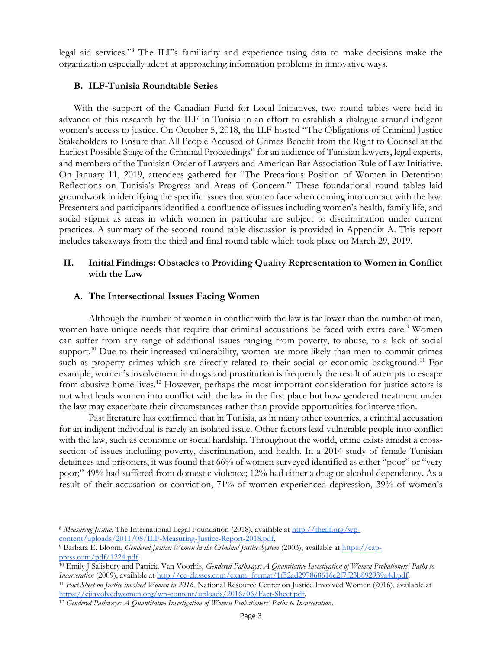legal aid services."<sup>8</sup> The ILF's familiarity and experience using data to make decisions make the organization especially adept at approaching information problems in innovative ways.

#### **B. ILF-Tunisia Roundtable Series**

With the support of the Canadian Fund for Local Initiatives, two round tables were held in advance of this research by the ILF in Tunisia in an effort to establish a dialogue around indigent women's access to justice. On October 5, 2018, the ILF hosted "The Obligations of Criminal Justice Stakeholders to Ensure that All People Accused of Crimes Benefit from the Right to Counsel at the Earliest Possible Stage of the Criminal Proceedings" for an audience of Tunisian lawyers, legal experts, and members of the Tunisian Order of Lawyers and American Bar Association Rule of Law Initiative. On January 11, 2019, attendees gathered for "The Precarious Position of Women in Detention: Reflections on Tunisia's Progress and Areas of Concern." These foundational round tables laid groundwork in identifying the specific issues that women face when coming into contact with the law. Presenters and participants identified a confluence of issues including women's health, family life, and social stigma as areas in which women in particular are subject to discrimination under current practices. A summary of the second round table discussion is provided in Appendix A. This report includes takeaways from the third and final round table which took place on March 29, 2019.

## **II. Initial Findings: Obstacles to Providing Quality Representation to Women in Conflict with the Law**

#### **A. The Intersectional Issues Facing Women**

Although the number of women in conflict with the law is far lower than the number of men, women have unique needs that require that criminal accusations be faced with extra care.<sup>9</sup> Women can suffer from any range of additional issues ranging from poverty, to abuse, to a lack of social support.<sup>10</sup> Due to their increased vulnerability, women are more likely than men to commit crimes such as property crimes which are directly related to their social or economic background.<sup>11</sup> For example, women's involvement in drugs and prostitution is frequently the result of attempts to escape from abusive home lives.<sup>12</sup> However, perhaps the most important consideration for justice actors is not what leads women into conflict with the law in the first place but how gendered treatment under the law may exacerbate their circumstances rather than provide opportunities for intervention.

Past literature has confirmed that in Tunisia, as in many other countries, a criminal accusation for an indigent individual is rarely an isolated issue. Other factors lead vulnerable people into conflict with the law, such as economic or social hardship. Throughout the world, crime exists amidst a crosssection of issues including poverty, discrimination, and health. In a 2014 study of female Tunisian detainees and prisoners, it was found that 66% of women surveyed identified as either "poor" or "very poor;" 49% had suffered from domestic violence; 12% had either a drug or alcohol dependency. As a result of their accusation or conviction, 71% of women experienced depression, 39% of women's

 $\overline{\phantom{a}}$ 

<sup>&</sup>lt;sup>8</sup> *Measuring Justice*, The International Legal Foundation (2018), available at [http://theilf.org/wp](http://theilf.org/wp-content/uploads/2011/08/ILF-Measuring-Justice-Report-2018.pdf)[content/uploads/2011/08/ILF-Measuring-Justice-Report-2018.pdf.](http://theilf.org/wp-content/uploads/2011/08/ILF-Measuring-Justice-Report-2018.pdf)

<sup>9</sup> Barbara E. Bloom, *Gendered Justice: Women in the Criminal Justice System* (2003), available at [https://cap](https://cap-press.com/pdf/1224.pdf)[press.com/pdf/1224.pdf.](https://cap-press.com/pdf/1224.pdf)

<sup>10</sup> Emily J Salisbury and Patricia Van Voorhis, *Gendered Pathways: A Quantitative Investigation of Women Probationers' Paths to Incarceration* (2009), available at [http://ce-classes.com/exam\\_format/1f52ad297868616e2f7f23b892939a4d.pdf.](http://ce-classes.com/exam_format/1f52ad297868616e2f7f23b892939a4d.pdf)

<sup>11</sup> *Fact Sheet on Justice involved Women in 2016*, National Resource Center on Justice Involved Women (2016), available at [https://cjinvolvedwomen.org/wp-content/uploads/2016/06/Fact-Sheet.pdf.](https://cjinvolvedwomen.org/wp-content/uploads/2016/06/Fact-Sheet.pdf) 

<sup>12</sup> *Gendered Pathways: A Quantitative Investigation of Women Probationers' Paths to Incarceration*.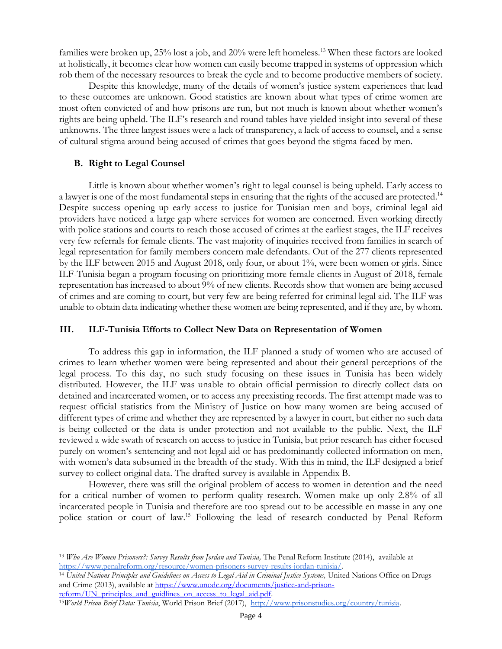families were broken up, 25% lost a job, and 20% were left homeless.<sup>13</sup> When these factors are looked at holistically, it becomes clear how women can easily become trapped in systems of oppression which rob them of the necessary resources to break the cycle and to become productive members of society.

Despite this knowledge, many of the details of women's justice system experiences that lead to these outcomes are unknown. Good statistics are known about what types of crime women are most often convicted of and how prisons are run, but not much is known about whether women's rights are being upheld. The ILF's research and round tables have yielded insight into several of these unknowns. The three largest issues were a lack of transparency, a lack of access to counsel, and a sense of cultural stigma around being accused of crimes that goes beyond the stigma faced by men.

## **B. Right to Legal Counsel**

 $\overline{a}$ 

Little is known about whether women's right to legal counsel is being upheld. Early access to a lawyer is one of the most fundamental steps in ensuring that the rights of the accused are protected.<sup>14</sup> Despite success opening up early access to justice for Tunisian men and boys, criminal legal aid providers have noticed a large gap where services for women are concerned. Even working directly with police stations and courts to reach those accused of crimes at the earliest stages, the ILF receives very few referrals for female clients. The vast majority of inquiries received from families in search of legal representation for family members concern male defendants. Out of the 277 clients represented by the ILF between 2015 and August 2018, only four, or about 1%, were been women or girls. Since ILF-Tunisia began a program focusing on prioritizing more female clients in August of 2018, female representation has increased to about 9% of new clients. Records show that women are being accused of crimes and are coming to court, but very few are being referred for criminal legal aid. The ILF was unable to obtain data indicating whether these women are being represented, and if they are, by whom.

## **III. ILF-Tunisia Efforts to Collect New Data on Representation of Women**

To address this gap in information, the ILF planned a study of women who are accused of crimes to learn whether women were being represented and about their general perceptions of the legal process. To this day, no such study focusing on these issues in Tunisia has been widely distributed. However, the ILF was unable to obtain official permission to directly collect data on detained and incarcerated women, or to access any preexisting records. The first attempt made was to request official statistics from the Ministry of Justice on how many women are being accused of different types of crime and whether they are represented by a lawyer in court, but either no such data is being collected or the data is under protection and not available to the public. Next, the ILF reviewed a wide swath of research on access to justice in Tunisia, but prior research has either focused purely on women's sentencing and not legal aid or has predominantly collected information on men, with women's data subsumed in the breadth of the study. With this in mind, the ILF designed a brief survey to collect original data. The drafted survey is available in Appendix B.

However, there was still the original problem of access to women in detention and the need for a critical number of women to perform quality research. Women make up only 2.8% of all incarcerated people in Tunisia and therefore are too spread out to be accessible en masse in any one police station or court of law.<sup>15</sup> Following the lead of research conducted by Penal Reform

<sup>13</sup> *Who Are Women Prisoners?: Survey Results from Jordan and Tunisia,* The Penal Reform Institute (2014), available at [https://www.penalreform.org/resource/women-prisoners-survey-results-jordan-tunisia/.](https://www.penalreform.org/resource/women-prisoners-survey-results-jordan-tunisia/) 

<sup>&</sup>lt;sup>14</sup> United Nations Principles and Guidelines on Access to Legal Aid in Criminal Justice Systems, United Nations Office on Drugs and Crime (2013), available at [https://www.unodc.org/documents/justice-and-prison](https://www.unodc.org/documents/justice-and-prison-reform/UN_principles_and_guidlines_on_access_to_legal_aid.pdf)reform/UN\_principles\_and\_guidlines\_on\_access\_to\_legal\_aid.pdf.

<sup>15</sup>*World Prison Brief Data: Tunisia*, World Prison Brief (2017), [http://www.prisonstudies.org/country/tunisia.](http://www.prisonstudies.org/country/tunisia)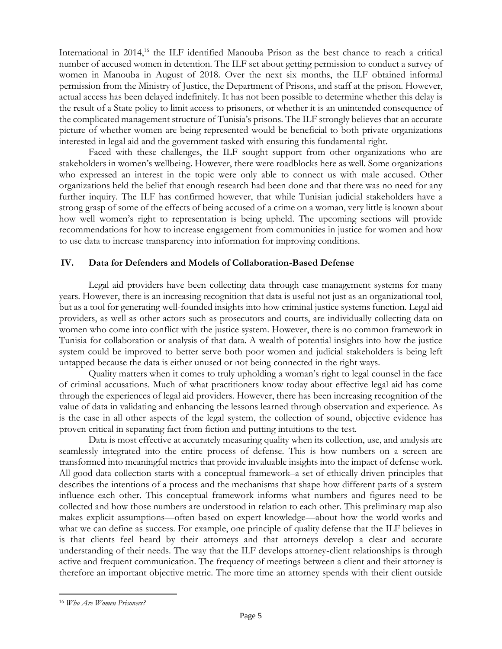International in 2014,<sup>16</sup> the ILF identified Manouba Prison as the best chance to reach a critical number of accused women in detention. The ILF set about getting permission to conduct a survey of women in Manouba in August of 2018. Over the next six months, the ILF obtained informal permission from the Ministry of Justice, the Department of Prisons, and staff at the prison. However, actual access has been delayed indefinitely. It has not been possible to determine whether this delay is the result of a State policy to limit access to prisoners, or whether it is an unintended consequence of the complicated management structure of Tunisia's prisons. The ILF strongly believes that an accurate picture of whether women are being represented would be beneficial to both private organizations interested in legal aid and the government tasked with ensuring this fundamental right.

Faced with these challenges, the ILF sought support from other organizations who are stakeholders in women's wellbeing. However, there were roadblocks here as well. Some organizations who expressed an interest in the topic were only able to connect us with male accused. Other organizations held the belief that enough research had been done and that there was no need for any further inquiry. The ILF has confirmed however, that while Tunisian judicial stakeholders have a strong grasp of some of the effects of being accused of a crime on a woman, very little is known about how well women's right to representation is being upheld. The upcoming sections will provide recommendations for how to increase engagement from communities in justice for women and how to use data to increase transparency into information for improving conditions.

## **IV. Data for Defenders and Models of Collaboration-Based Defense**

Legal aid providers have been collecting data through case management systems for many years. However, there is an increasing recognition that data is useful not just as an organizational tool, but as a tool for generating well-founded insights into how criminal justice systems function. Legal aid providers, as well as other actors such as prosecutors and courts, are individually collecting data on women who come into conflict with the justice system. However, there is no common framework in Tunisia for collaboration or analysis of that data. A wealth of potential insights into how the justice system could be improved to better serve both poor women and judicial stakeholders is being left untapped because the data is either unused or not being connected in the right ways.

Quality matters when it comes to truly upholding a woman's right to legal counsel in the face of criminal accusations. Much of what practitioners know today about effective legal aid has come through the experiences of legal aid providers. However, there has been increasing recognition of the value of data in validating and enhancing the lessons learned through observation and experience. As is the case in all other aspects of the legal system, the collection of sound, objective evidence has proven critical in separating fact from fiction and putting intuitions to the test.

Data is most effective at accurately measuring quality when its collection, use, and analysis are seamlessly integrated into the entire process of defense. This is how numbers on a screen are transformed into meaningful metrics that provide invaluable insights into the impact of defense work. All good data collection starts with a conceptual framework–a set of ethically-driven principles that describes the intentions of a process and the mechanisms that shape how different parts of a system influence each other. This conceptual framework informs what numbers and figures need to be collected and how those numbers are understood in relation to each other. This preliminary map also makes explicit assumptions—often based on expert knowledge—about how the world works and what we can define as success. For example, one principle of quality defense that the ILF believes in is that clients feel heard by their attorneys and that attorneys develop a clear and accurate understanding of their needs. The way that the ILF develops attorney-client relationships is through active and frequent communication. The frequency of meetings between a client and their attorney is therefore an important objective metric. The more time an attorney spends with their client outside

 $\overline{\phantom{a}}$ 

<sup>16</sup> *Who Are Women Prisoners?*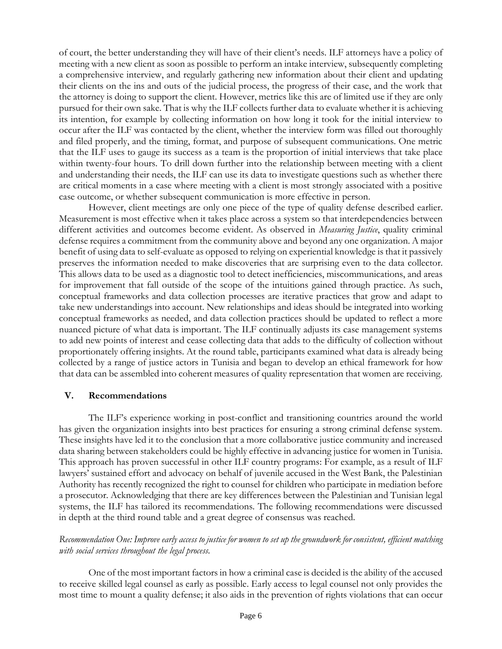of court, the better understanding they will have of their client's needs. ILF attorneys have a policy of meeting with a new client as soon as possible to perform an intake interview, subsequently completing a comprehensive interview, and regularly gathering new information about their client and updating their clients on the ins and outs of the judicial process, the progress of their case, and the work that the attorney is doing to support the client. However, metrics like this are of limited use if they are only pursued for their own sake. That is why the ILF collects further data to evaluate whether it is achieving its intention, for example by collecting information on how long it took for the initial interview to occur after the ILF was contacted by the client, whether the interview form was filled out thoroughly and filed properly, and the timing, format, and purpose of subsequent communications. One metric that the ILF uses to gauge its success as a team is the proportion of initial interviews that take place within twenty-four hours. To drill down further into the relationship between meeting with a client and understanding their needs, the ILF can use its data to investigate questions such as whether there are critical moments in a case where meeting with a client is most strongly associated with a positive case outcome, or whether subsequent communication is more effective in person.

However, client meetings are only one piece of the type of quality defense described earlier. Measurement is most effective when it takes place across a system so that interdependencies between different activities and outcomes become evident. As observed in *Measuring Justice*, quality criminal defense requires a commitment from the community above and beyond any one organization. A major benefit of using data to self-evaluate as opposed to relying on experiential knowledge is that it passively preserves the information needed to make discoveries that are surprising even to the data collector. This allows data to be used as a diagnostic tool to detect inefficiencies, miscommunications, and areas for improvement that fall outside of the scope of the intuitions gained through practice. As such, conceptual frameworks and data collection processes are iterative practices that grow and adapt to take new understandings into account. New relationships and ideas should be integrated into working conceptual frameworks as needed, and data collection practices should be updated to reflect a more nuanced picture of what data is important. The ILF continually adjusts its case management systems to add new points of interest and cease collecting data that adds to the difficulty of collection without proportionately offering insights. At the round table, participants examined what data is already being collected by a range of justice actors in Tunisia and began to develop an ethical framework for how that data can be assembled into coherent measures of quality representation that women are receiving.

### **V. Recommendations**

The ILF's experience working in post-conflict and transitioning countries around the world has given the organization insights into best practices for ensuring a strong criminal defense system. These insights have led it to the conclusion that a more collaborative justice community and increased data sharing between stakeholders could be highly effective in advancing justice for women in Tunisia. This approach has proven successful in other ILF country programs: For example, as a result of ILF lawyers' sustained effort and advocacy on behalf of juvenile accused in the West Bank, the Palestinian Authority has recently recognized the right to counsel for children who participate in mediation before a prosecutor. Acknowledging that there are key differences between the Palestinian and Tunisian legal systems, the ILF has tailored its recommendations. The following recommendations were discussed in depth at the third round table and a great degree of consensus was reached.

# *Recommendation One: Improve early access to justice for women to set up the groundwork for consistent, efficient matching with social services throughout the legal process.*

One of the most important factors in how a criminal case is decided is the ability of the accused to receive skilled legal counsel as early as possible. Early access to legal counsel not only provides the most time to mount a quality defense; it also aids in the prevention of rights violations that can occur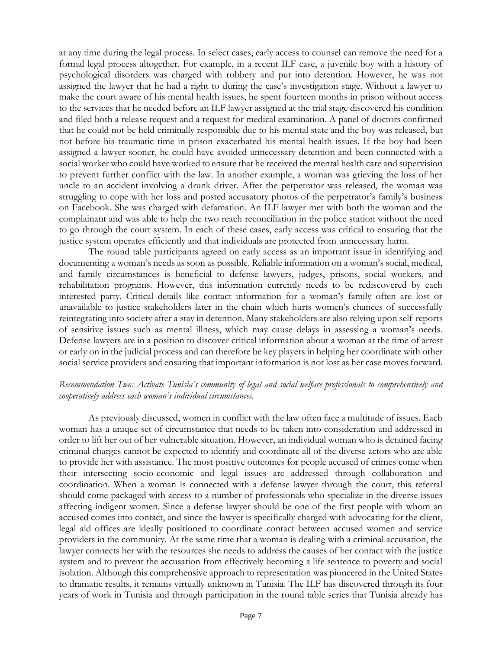at any time during the legal process. In select cases, early access to counsel can remove the need for a formal legal process altogether. For example, in a recent ILF case, a juvenile boy with a history of psychological disorders was charged with robbery and put into detention. However, he was not assigned the lawyer that he had a right to during the case's investigation stage. Without a lawyer to make the court aware of his mental health issues, he spent fourteen months in prison without access to the services that he needed before an ILF lawyer assigned at the trial stage discovered his condition and filed both a release request and a request for medical examination. A panel of doctors confirmed that he could not be held criminally responsible due to his mental state and the boy was released, but not before his traumatic time in prison exacerbated his mental health issues. If the boy had been assigned a lawyer sooner, he could have avoided unnecessary detention and been connected with a social worker who could have worked to ensure that he received the mental health care and supervision to prevent further conflict with the law. In another example, a woman was grieving the loss of her uncle to an accident involving a drunk driver. After the perpetrator was released, the woman was struggling to cope with her loss and posted accusatory photos of the perpetrator's family's business on Facebook. She was charged with defamation. An ILF lawyer met with both the woman and the complainant and was able to help the two reach reconciliation in the police station without the need to go through the court system. In each of these cases, early access was critical to ensuring that the justice system operates efficiently and that individuals are protected from unnecessary harm.

The round table participants agreed on early access as an important issue in identifying and documenting a woman's needs as soon as possible. Reliable information on a woman's social, medical, and family circumstances is beneficial to defense lawyers, judges, prisons, social workers, and rehabilitation programs. However, this information currently needs to be rediscovered by each interested party. Critical details like contact information for a woman's family often are lost or unavailable to justice stakeholders later in the chain which hurts women's chances of successfully reintegrating into society after a stay in detention. Many stakeholders are also relying upon self-reports of sensitive issues such as mental illness, which may cause delays in assessing a woman's needs. Defense lawyers are in a position to discover critical information about a woman at the time of arrest or early on in the judicial process and can therefore be key players in helping her coordinate with other social service providers and ensuring that important information is not lost as her case moves forward.

# Recommendation Two: Activate Tunisia's community of legal and social welfare professionals to comprehensively and *cooperatively address each woman's individual circumstances.*

As previously discussed, women in conflict with the law often face a multitude of issues. Each woman has a unique set of circumstance that needs to be taken into consideration and addressed in order to lift her out of her vulnerable situation. However, an individual woman who is detained facing criminal charges cannot be expected to identify and coordinate all of the diverse actors who are able to provide her with assistance. The most positive outcomes for people accused of crimes come when their intersecting socio-economic and legal issues are addressed through collaboration and coordination. When a woman is connected with a defense lawyer through the court, this referral should come packaged with access to a number of professionals who specialize in the diverse issues affecting indigent women. Since a defense lawyer should be one of the first people with whom an accused comes into contact, and since the lawyer is specifically charged with advocating for the client, legal aid offices are ideally positioned to coordinate contact between accused women and service providers in the community. At the same time that a woman is dealing with a criminal accusation, the lawyer connects her with the resources she needs to address the causes of her contact with the justice system and to prevent the accusation from effectively becoming a life sentence to poverty and social isolation. Although this comprehensive approach to representation was pioneered in the United States to dramatic results, it remains virtually unknown in Tunisia. The ILF has discovered through its four years of work in Tunisia and through participation in the round table series that Tunisia already has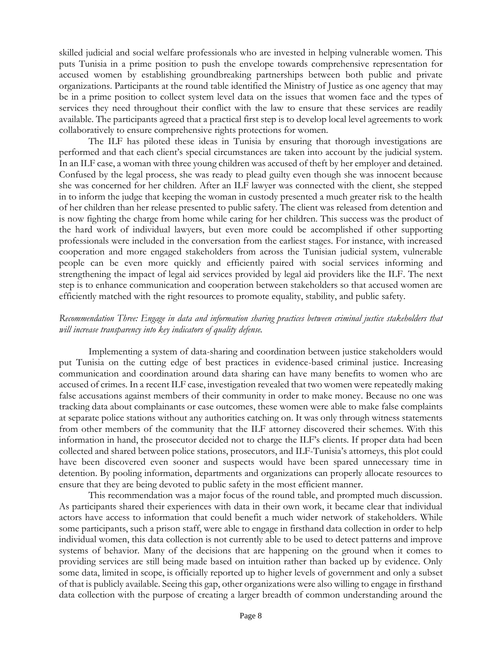skilled judicial and social welfare professionals who are invested in helping vulnerable women. This puts Tunisia in a prime position to push the envelope towards comprehensive representation for accused women by establishing groundbreaking partnerships between both public and private organizations. Participants at the round table identified the Ministry of Justice as one agency that may be in a prime position to collect system level data on the issues that women face and the types of services they need throughout their conflict with the law to ensure that these services are readily available. The participants agreed that a practical first step is to develop local level agreements to work collaboratively to ensure comprehensive rights protections for women.

The ILF has piloted these ideas in Tunisia by ensuring that thorough investigations are performed and that each client's special circumstances are taken into account by the judicial system. In an ILF case, a woman with three young children was accused of theft by her employer and detained. Confused by the legal process, she was ready to plead guilty even though she was innocent because she was concerned for her children. After an ILF lawyer was connected with the client, she stepped in to inform the judge that keeping the woman in custody presented a much greater risk to the health of her children than her release presented to public safety. The client was released from detention and is now fighting the charge from home while caring for her children. This success was the product of the hard work of individual lawyers, but even more could be accomplished if other supporting professionals were included in the conversation from the earliest stages. For instance, with increased cooperation and more engaged stakeholders from across the Tunisian judicial system, vulnerable people can be even more quickly and efficiently paired with social services informing and strengthening the impact of legal aid services provided by legal aid providers like the ILF. The next step is to enhance communication and cooperation between stakeholders so that accused women are efficiently matched with the right resources to promote equality, stability, and public safety.

## *Recommendation Three: Engage in data and information sharing practices between criminal justice stakeholders that will increase transparency into key indicators of quality defense.*

Implementing a system of data-sharing and coordination between justice stakeholders would put Tunisia on the cutting edge of best practices in evidence-based criminal justice. Increasing communication and coordination around data sharing can have many benefits to women who are accused of crimes. In a recent ILF case, investigation revealed that two women were repeatedly making false accusations against members of their community in order to make money. Because no one was tracking data about complainants or case outcomes, these women were able to make false complaints at separate police stations without any authorities catching on. It was only through witness statements from other members of the community that the ILF attorney discovered their schemes. With this information in hand, the prosecutor decided not to charge the ILF's clients. If proper data had been collected and shared between police stations, prosecutors, and ILF-Tunisia's attorneys, this plot could have been discovered even sooner and suspects would have been spared unnecessary time in detention. By pooling information, departments and organizations can properly allocate resources to ensure that they are being devoted to public safety in the most efficient manner.

This recommendation was a major focus of the round table, and prompted much discussion. As participants shared their experiences with data in their own work, it became clear that individual actors have access to information that could benefit a much wider network of stakeholders. While some participants, such a prison staff, were able to engage in firsthand data collection in order to help individual women, this data collection is not currently able to be used to detect patterns and improve systems of behavior. Many of the decisions that are happening on the ground when it comes to providing services are still being made based on intuition rather than backed up by evidence. Only some data, limited in scope, is officially reported up to higher levels of government and only a subset of that is publicly available. Seeing this gap, other organizations were also willing to engage in firsthand data collection with the purpose of creating a larger breadth of common understanding around the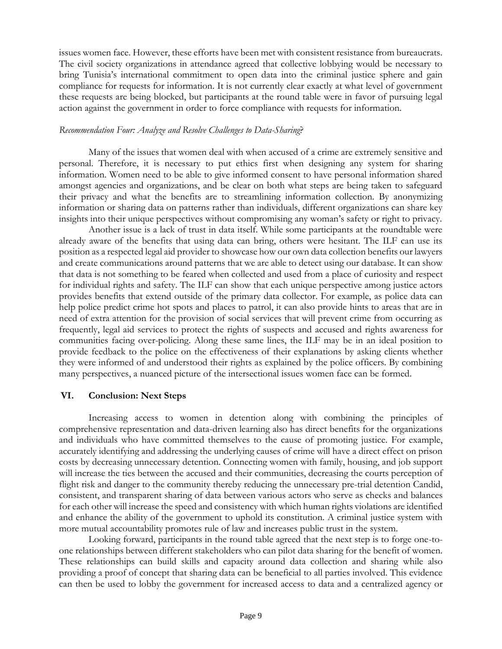issues women face. However, these efforts have been met with consistent resistance from bureaucrats. The civil society organizations in attendance agreed that collective lobbying would be necessary to bring Tunisia's international commitment to open data into the criminal justice sphere and gain compliance for requests for information. It is not currently clear exactly at what level of government these requests are being blocked, but participants at the round table were in favor of pursuing legal action against the government in order to force compliance with requests for information.

## *Recommendation Four: Analyze and Resolve Challenges to Data-Sharing*?

Many of the issues that women deal with when accused of a crime are extremely sensitive and personal. Therefore, it is necessary to put ethics first when designing any system for sharing information. Women need to be able to give informed consent to have personal information shared amongst agencies and organizations, and be clear on both what steps are being taken to safeguard their privacy and what the benefits are to streamlining information collection. By anonymizing information or sharing data on patterns rather than individuals, different organizations can share key insights into their unique perspectives without compromising any woman's safety or right to privacy.

Another issue is a lack of trust in data itself. While some participants at the roundtable were already aware of the benefits that using data can bring, others were hesitant. The ILF can use its position as a respected legal aid provider to showcase how our own data collection benefits our lawyers and create communications around patterns that we are able to detect using our database. It can show that data is not something to be feared when collected and used from a place of curiosity and respect for individual rights and safety. The ILF can show that each unique perspective among justice actors provides benefits that extend outside of the primary data collector. For example, as police data can help police predict crime hot spots and places to patrol, it can also provide hints to areas that are in need of extra attention for the provision of social services that will prevent crime from occurring as frequently, legal aid services to protect the rights of suspects and accused and rights awareness for communities facing over-policing. Along these same lines, the ILF may be in an ideal position to provide feedback to the police on the effectiveness of their explanations by asking clients whether they were informed of and understood their rights as explained by the police officers. By combining many perspectives, a nuanced picture of the intersectional issues women face can be formed.

# **VI. Conclusion: Next Steps**

Increasing access to women in detention along with combining the principles of comprehensive representation and data-driven learning also has direct benefits for the organizations and individuals who have committed themselves to the cause of promoting justice. For example, accurately identifying and addressing the underlying causes of crime will have a direct effect on prison costs by decreasing unnecessary detention. Connecting women with family, housing, and job support will increase the ties between the accused and their communities, decreasing the courts perception of flight risk and danger to the community thereby reducing the unnecessary pre-trial detention Candid, consistent, and transparent sharing of data between various actors who serve as checks and balances for each other will increase the speed and consistency with which human rights violations are identified and enhance the ability of the government to uphold its constitution. A criminal justice system with more mutual accountability promotes rule of law and increases public trust in the system.

Looking forward, participants in the round table agreed that the next step is to forge one-toone relationships between different stakeholders who can pilot data sharing for the benefit of women. These relationships can build skills and capacity around data collection and sharing while also providing a proof of concept that sharing data can be beneficial to all parties involved. This evidence can then be used to lobby the government for increased access to data and a centralized agency or